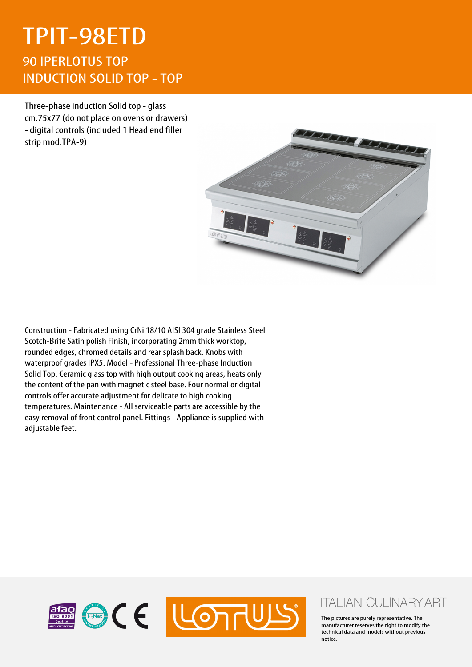## TPIT-98ETD 90 IPERLOTUS TOP INDUCTION SOLID TOP - TOP

Three-phase induction Solid top - glass cm.75x77 (do not place on ovens or drawers) - digital controls (included 1 Head end filler strip mod.TPA-9)



Construction - Fabricated using CrNi 18/10 AISI 304 grade Stainless Steel Scotch-Brite Satin polish Finish, incorporating 2mm thick worktop, rounded edges, chromed details and rear splash back. Knobs with waterproof grades IPX5. Model - Professional Three-phase Induction Solid Top. Ceramic glass top with high output cooking areas, heats only the content of the pan with magnetic steel base. Four normal or digital controls offer accurate adjustment for delicate to high cooking temperatures. Maintenance - All serviceable parts are accessible by the easy removal of front control panel. Fittings - Appliance is supplied with adjustable feet.



## **ITALIAN CULINARY ART**

The pictures are purely representative. The manufacturer reserves the right to modify the technical data and models without previous notice.